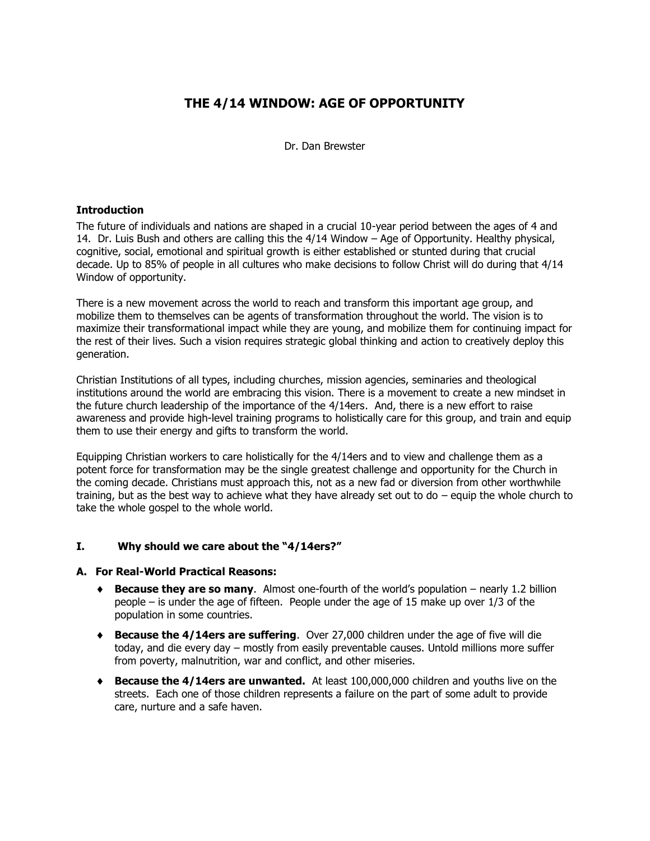# **THE 4/14 WINDOW: AGE OF OPPORTUNITY**

Dr. Dan Brewster

#### **Introduction**

The future of individuals and nations are shaped in a crucial 10-year period between the ages of 4 and 14. Dr. Luis Bush and others are calling this the 4/14 Window – Age of Opportunity. Healthy physical, cognitive, social, emotional and spiritual growth is either established or stunted during that crucial decade. Up to 85% of people in all cultures who make decisions to follow Christ will do during that 4/14 Window of opportunity.

There is a new movement across the world to reach and transform this important age group, and mobilize them to themselves can be agents of transformation throughout the world. The vision is to maximize their transformational impact while they are young, and mobilize them for continuing impact for the rest of their lives. Such a vision requires strategic global thinking and action to creatively deploy this generation.

Christian Institutions of all types, including churches, mission agencies, seminaries and theological institutions around the world are embracing this vision. There is a movement to create a new mindset in the future church leadership of the importance of the 4/14ers. And, there is a new effort to raise awareness and provide high-level training programs to holistically care for this group, and train and equip them to use their energy and gifts to transform the world.

Equipping Christian workers to care holistically for the 4/14ers and to view and challenge them as a potent force for transformation may be the single greatest challenge and opportunity for the Church in the coming decade. Christians must approach this, not as a new fad or diversion from other worthwhile training, but as the best way to achieve what they have already set out to do – equip the whole church to take the whole gospel to the whole world.

### **I. Why should we care about the "4/14ers?"**

#### **A. For Real-World Practical Reasons:**

- **Because they are so many**. Almost one-fourth of the world's population nearly 1.2 billion people – is under the age of fifteen. People under the age of 15 make up over 1/3 of the population in some countries.
- **Because the 4/14ers are suffering**. Over 27,000 children under the age of five will die today, and die every day – mostly from easily preventable causes. Untold millions more suffer from poverty, malnutrition, war and conflict, and other miseries.
- **Because the 4/14ers are unwanted.** At least 100,000,000 children and youths live on the streets. Each one of those children represents a failure on the part of some adult to provide care, nurture and a safe haven.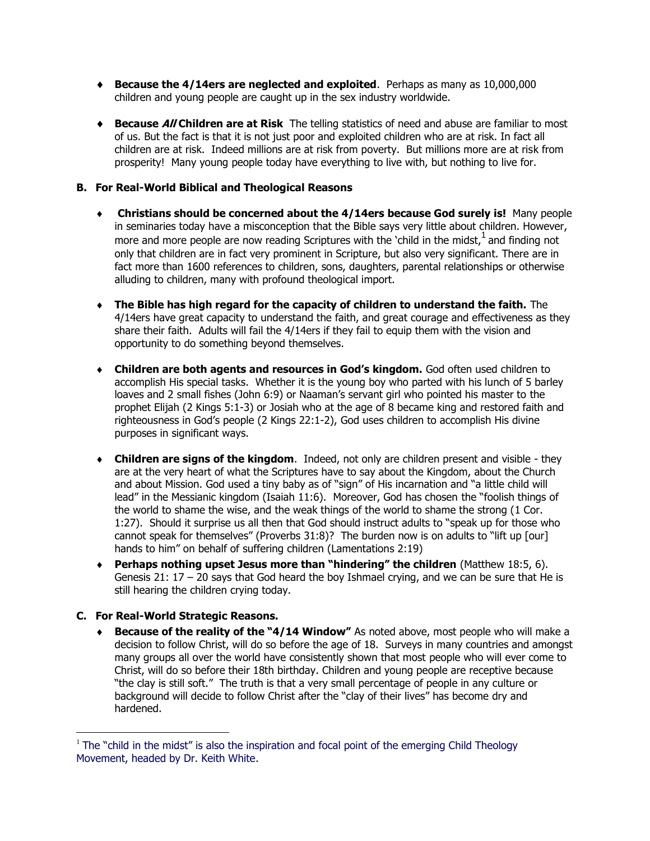- **Because the 4/14ers are neglected and exploited**. Perhaps as many as 10,000,000 children and young people are caught up in the sex industry worldwide.
- **Because All Children are at Risk** The telling statistics of need and abuse are familiar to most of us. But the fact is that it is not just poor and exploited children who are at risk. In fact all children are at risk. Indeed millions are at risk from poverty. But millions more are at risk from prosperity! Many young people today have everything to live with, but nothing to live for.

## **B. For Real-World Biblical and Theological Reasons**

- **Christians should be concerned about the 4/14ers because God surely is!** Many people in seminaries today have a misconception that the Bible says very little about children. However, more and more people are now reading Scriptures with the 'child in the midst,  $1$  and finding not only that children are in fact very prominent in Scripture, but also very significant. There are in fact more than 1600 references to children, sons, daughters, parental relationships or otherwise alluding to children, many with profound theological import.
- **The Bible has high regard for the capacity of children to understand the faith.** The 4/14ers have great capacity to understand the faith, and great courage and effectiveness as they share their faith. Adults will fail the 4/14ers if they fail to equip them with the vision and opportunity to do something beyond themselves.
- **Children are both agents and resources in God's kingdom.** God often used children to accomplish His special tasks. Whether it is the young boy who parted with his lunch of 5 barley loaves and 2 small fishes (John 6:9) or Naaman's servant girl who pointed his master to the prophet Elijah (2 Kings 5:1-3) or Josiah who at the age of 8 became king and restored faith and righteousness in God's people (2 Kings 22:1-2), God uses children to accomplish His divine purposes in significant ways.
- **Children are signs of the kingdom**. Indeed, not only are children present and visible they are at the very heart of what the Scriptures have to say about the Kingdom, about the Church and about Mission. God used a tiny baby as of "sign" of His incarnation and "a little child will lead" in the Messianic kingdom (Isaiah 11:6). Moreover, God has chosen the "foolish things of the world to shame the wise, and the weak things of the world to shame the strong (1 Cor. 1:27). Should it surprise us all then that God should instruct adults to "speak up for those who cannot speak for themselves" (Proverbs 31:8)? The burden now is on adults to "lift up [our] hands to him" on behalf of suffering children (Lamentations 2:19)
- **Perhaps nothing upset Jesus more than "hindering" the children** (Matthew 18:5, 6). Genesis 21: 17 – 20 says that God heard the boy Ishmael crying, and we can be sure that He is still hearing the children crying today.

# **C. For Real-World Strategic Reasons.**

 $\overline{a}$ 

 **Because of the reality of the "4/14 Window"** As noted above, most people who will make a decision to follow Christ, will do so before the age of 18. Surveys in many countries and amongst many groups all over the world have consistently shown that most people who will ever come to Christ, will do so before their 18th birthday. Children and young people are receptive because "the clay is still soft." The truth is that a very small percentage of people in any culture or background will decide to follow Christ after the "clay of their lives" has become dry and hardened.

<sup>&</sup>lt;sup>1</sup> The "child in the midst" is also the inspiration and focal point of the emerging Child Theology Movement, headed by Dr. Keith White.